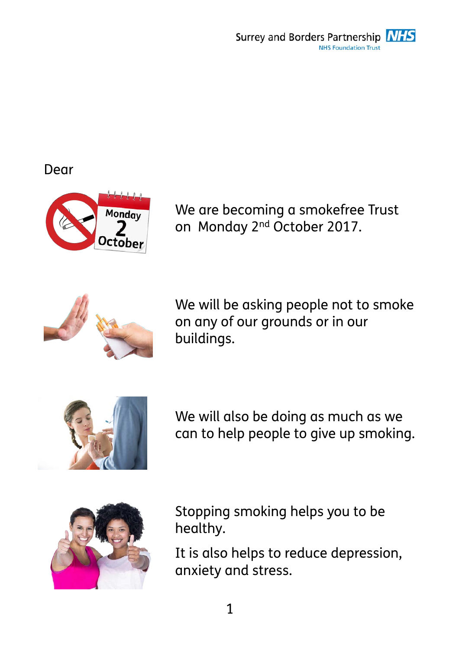Surrey and Borders Partnership **NHS** NHS Foundation Trust

## Dear



We are becoming a smokefree Trust on Monday 2nd October 2017.



We will be asking people not to smoke on any of our grounds or in our buildings.



We will also be doing as much as we can to help people to give up smoking.



Stopping smoking helps you to be healthy.

It is also helps to reduce depression, anxiety and stress.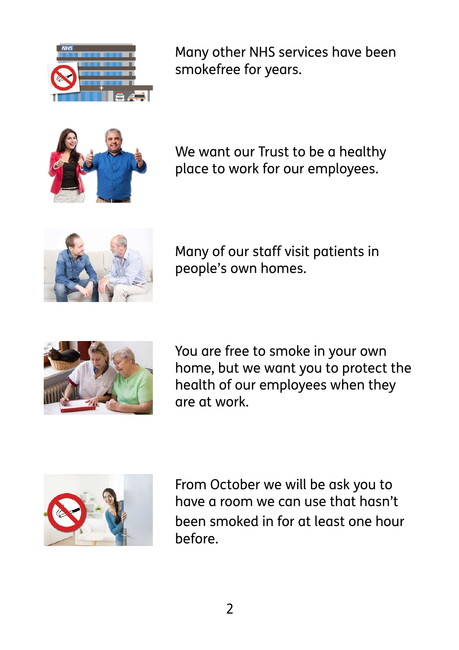

Many other NHS services have been smokefree for years.



We want our Trust to be a healthy place to work for our employees.



Many of our staff visit patients in people's own homes.



You are free to smoke in your own home, but we want you to protect the health of our employees when they are at work.



From October we will be ask you to have a room we can use that hasn't been smoked in for at least one hour before.